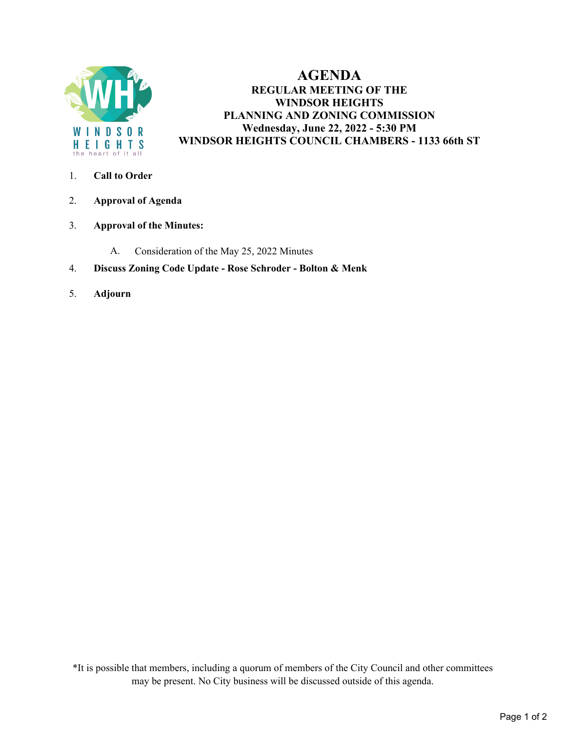

# **AGENDA REGULAR MEETING OF THE WINDSOR HEIGHTS PLANNING AND ZONING COMMISSION Wednesday, June 22, 2022 - 5:30 PM WINDSOR HEIGHTS COUNCIL CHAMBERS - 1133 66th ST**

- 1. **Call to Order**
- 2. **Approval of Agenda**
- 3. **Approval of the Minutes:** 
	- A. Consideration of the May 25, 2022 Minutes
- 4. **Discuss Zoning Code Update Rose Schroder Bolton & Menk**
- 5. **Adjourn**